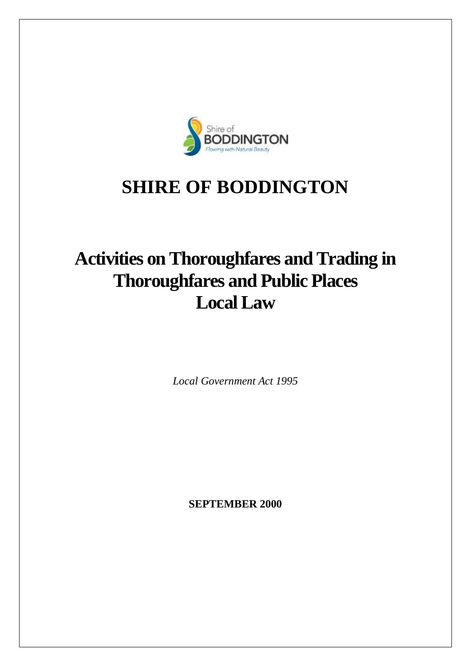

# **SHIRE OF BODDINGTON**

# **Activities on Thoroughfares and Trading in Thoroughfares and Public Places Local Law**

*Local Government Act 1995*

**SEPTEMBER 2000**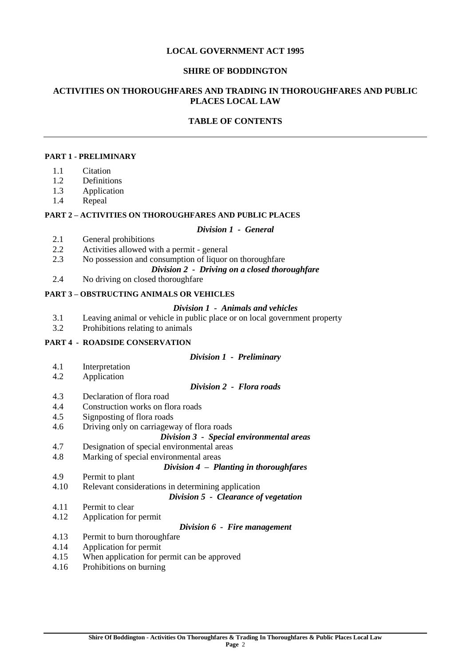# **LOCAL GOVERNMENT ACT 1995**

# **SHIRE OF BODDINGTON**

# **ACTIVITIES ON THOROUGHFARES AND TRADING IN THOROUGHFARES AND PUBLIC PLACES LOCAL LAW**

# **TABLE OF CONTENTS**

# **PART 1 - PRELIMINARY**

- 1.1 Citation
- 1.2 Definitions
- 1.3 Application
- 1.4 Repeal

# **PART 2 – ACTIVITIES ON THOROUGHFARES AND PUBLIC PLACES**

## *Division 1 - General*

- 2.1 General prohibitions
- 2.2 Activities allowed with a permit general
- 2.3 No possession and consumption of liquor on thoroughfare

# *Division 2 - Driving on a closed thoroughfare*

2.4 No driving on closed thoroughfare

# **PART 3 – OBSTRUCTING ANIMALS OR VEHICLES**

## *Division 1 - Animals and vehicles*

- 3.1 Leaving animal or vehicle in public place or on local government property
- 3.2 Prohibitions relating to animals

# **PART 4 - ROADSIDE CONSERVATION**

## *Division 1 - Preliminary*

- 4.1 Interpretation<br>4.2 Application
- Application

## *Division 2 - Flora roads*

- 4.3 Declaration of flora road
- 4.4 Construction works on flora roads
- 4.5 Signposting of flora roads
- 4.6 Driving only on carriageway of flora roads

## *Division 3 - Special environmental areas*

- 4.7 Designation of special environmental areas
- 4.8 Marking of special environmental areas

## *Division 4 – Planting in thoroughfares*

- 4.9 Permit to plant
- 4.10 Relevant considerations in determining application

*Division 5 - Clearance of vegetation*

- 4.11 Permit to clear
- 4.12 Application for permit

# *Division 6 - Fire management*

- 4.13 Permit to burn thoroughfare
- 4.14 Application for permit
- 4.15 When application for permit can be approved
- 4.16 Prohibitions on burning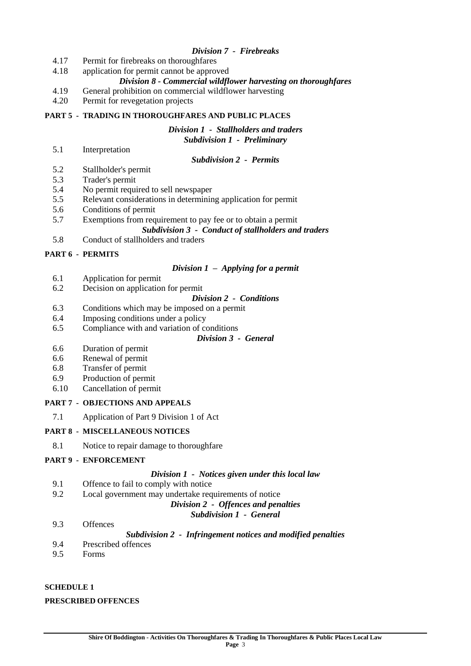# *Division 7 - Firebreaks*

- 4.17 Permit for firebreaks on thoroughfares
- 4.18 application for permit cannot be approved
	- *Division 8 - Commercial wildflower harvesting on thoroughfares*
- 4.19 General prohibition on commercial wildflower harvesting
- 4.20 Permit for revegetation projects

## **PART 5 - TRADING IN THOROUGHFARES AND PUBLIC PLACES**

*Division 1 - Stallholders and traders Subdivision 1 - Preliminary*

5.1 Interpretation

| Subdivision 2 - |  | <b>Permits</b> |
|-----------------|--|----------------|
|-----------------|--|----------------|

- 5.2 Stallholder's permit
- 5.3 Trader's permit
- 5.4 No permit required to sell newspaper
- 5.5 Relevant considerations in determining application for permit
- 5.6 Conditions of permit
- 5.7 Exemptions from requirement to pay fee or to obtain a permit

## *Subdivision 3 - Conduct of stallholders and traders*

5.8 Conduct of stallholders and traders

## **PART 6 - PERMITS**

## *Division 1 – Applying for a permit*

- 6.1 Application for permit
- 6.2 Decision on application for permit

## *Division 2 - Conditions*

- 6.3 Conditions which may be imposed on a permit
- 6.4 Imposing conditions under a policy
- 6.5 Compliance with and variation of conditions

## *Division 3 - General*

- 6.6 Duration of permit
- 6.6 Renewal of permit
- 6.8 Transfer of permit
- 6.9 Production of permit
- 6.10 Cancellation of permit

## **PART 7 - OBJECTIONS AND APPEALS**

7.1 Application of Part 9 Division 1 of Act

# **PART 8 - MISCELLANEOUS NOTICES**

8.1 Notice to repair damage to thoroughfare

# **PART 9 - ENFORCEMENT**

# *Division 1 - Notices given under this local law*

- 9.1 Offence to fail to comply with notice
- 9.2 Local government may undertake requirements of notice

# *Division 2 - Offences and penalties*

# *Subdivision 1 - General*

## 9.3 Offences

# *Subdivision 2 - Infringement notices and modified penalties*

- 9.4 Prescribed offences
- 9.5 Forms

# **SCHEDULE 1**

# **PRESCRIBED OFFENCES**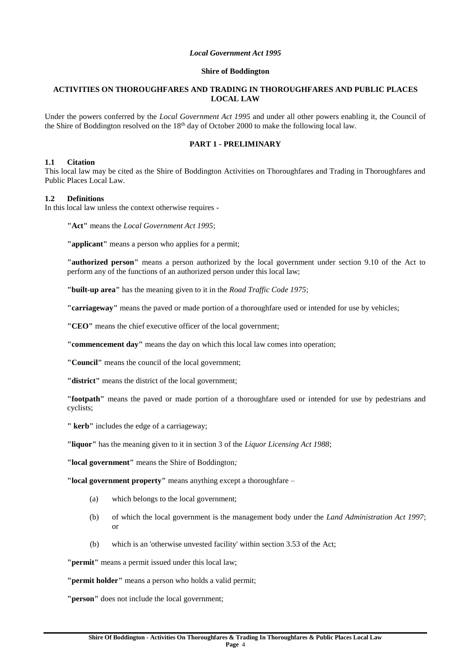## *Local Government Act 1995*

#### **Shire of Boddington**

## **ACTIVITIES ON THOROUGHFARES AND TRADING IN THOROUGHFARES AND PUBLIC PLACES LOCAL LAW**

Under the powers conferred by the *Local Government Act 1995* and under all other powers enabling it, the Council of the Shire of Boddington resolved on the  $18<sup>th</sup>$  day of October 2000 to make the following local law.

## **PART 1 - PRELIMINARY**

#### **1.1 Citation**

This local law may be cited as the Shire of Boddington Activities on Thoroughfares and Trading in Thoroughfares and Public Places Local Law.

## **1.2 Definitions**

In this local law unless the context otherwise requires -

**"Act"** means the *Local Government Act 1995*;

**"applicant"** means a person who applies for a permit;

**"authorized person"** means a person authorized by the local government under section 9.10 of the Act to perform any of the functions of an authorized person under this local law;

**"built-up area"** has the meaning given to it in the *Road Traffic Code 1975*;

**"carriageway"** means the paved or made portion of a thoroughfare used or intended for use by vehicles;

**"CEO"** means the chief executive officer of the local government;

**"commencement day"** means the day on which this local law comes into operation;

**"Council"** means the council of the local government;

**"district"** means the district of the local government;

**"footpath"** means the paved or made portion of a thoroughfare used or intended for use by pedestrians and cyclists;

**" kerb"** includes the edge of a carriageway;

**"liquor"** has the meaning given to it in section 3 of the *Liquor Licensing Act 1988*;

**"local government"** means the Shire of Boddington*;*

**"local government property"** means anything except a thoroughfare –

- (a) which belongs to the local government;
- (b) of which the local government is the management body under the *Land Administration Act 1997*; or
- (b) which is an 'otherwise unvested facility' within section 3.53 of the Act;

**"permit"** means a permit issued under this local law;

**"permit holder"** means a person who holds a valid permit;

**"person"** does not include the local government;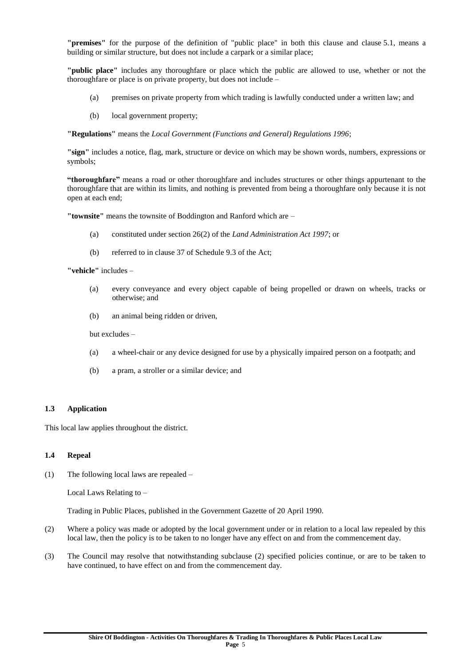**"premises"** for the purpose of the definition of "public place" in both this clause and clause 5.1, means a building or similar structure, but does not include a carpark or a similar place;

**"public place"** includes any thoroughfare or place which the public are allowed to use, whether or not the thoroughfare or place is on private property, but does not include –

- (a) premises on private property from which trading is lawfully conducted under a written law; and
- (b) local government property;

**"Regulations"** means the *Local Government (Functions and General) Regulations 1996*;

**"sign"** includes a notice, flag, mark, structure or device on which may be shown words, numbers, expressions or symbols;

**"thoroughfare"** means a road or other thoroughfare and includes structures or other things appurtenant to the thoroughfare that are within its limits, and nothing is prevented from being a thoroughfare only because it is not open at each end;

**"townsite"** means the townsite of Boddington and Ranford which are –

- (a) constituted under section 26(2) of the *Land Administration Act 1997*; or
- (b) referred to in clause 37 of Schedule 9.3 of the Act;

**"vehicle"** includes –

- (a) every conveyance and every object capable of being propelled or drawn on wheels, tracks or otherwise; and
- (b) an animal being ridden or driven,

but excludes –

- (a) a wheel-chair or any device designed for use by a physically impaired person on a footpath; and
- (b) a pram, a stroller or a similar device; and

## **1.3 Application**

This local law applies throughout the district.

#### **1.4 Repeal**

(1) The following local laws are repealed –

Local Laws Relating to –

Trading in Public Places, published in the Government Gazette of 20 April 1990.

- (2) Where a policy was made or adopted by the local government under or in relation to a local law repealed by this local law, then the policy is to be taken to no longer have any effect on and from the commencement day.
- (3) The Council may resolve that notwithstanding subclause (2) specified policies continue, or are to be taken to have continued, to have effect on and from the commencement day.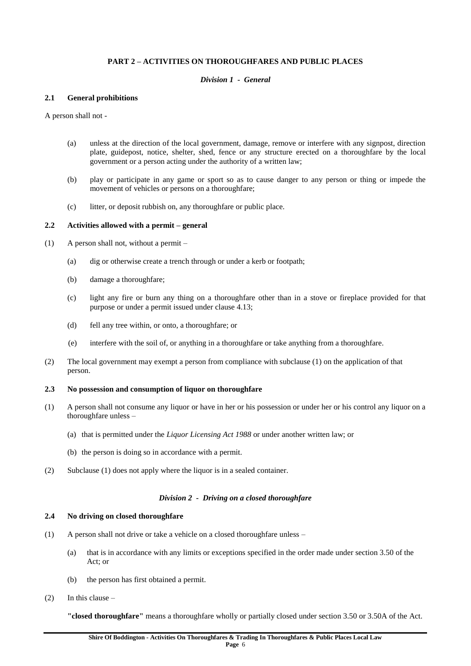## **PART 2 – ACTIVITIES ON THOROUGHFARES AND PUBLIC PLACES**

#### *Division 1 - General*

#### **2.1 General prohibitions**

A person shall not -

- (a) unless at the direction of the local government, damage, remove or interfere with any signpost, direction plate, guidepost, notice, shelter, shed, fence or any structure erected on a thoroughfare by the local government or a person acting under the authority of a written law;
- (b) play or participate in any game or sport so as to cause danger to any person or thing or impede the movement of vehicles or persons on a thoroughfare;
- (c) litter, or deposit rubbish on, any thoroughfare or public place.

## **2.2 Activities allowed with a permit – general**

- (1) A person shall not, without a permit
	- (a) dig or otherwise create a trench through or under a kerb or footpath;
	- (b) damage a thoroughfare;
	- (c) light any fire or burn any thing on a thoroughfare other than in a stove or fireplace provided for that purpose or under a permit issued under clause 4.13;
	- (d) fell any tree within, or onto, a thoroughfare; or
	- (e) interfere with the soil of, or anything in a thoroughfare or take anything from a thoroughfare.
- (2) The local government may exempt a person from compliance with subclause (1) on the application of that person.

#### **2.3 No possession and consumption of liquor on thoroughfare**

- (1) A person shall not consume any liquor or have in her or his possession or under her or his control any liquor on a thoroughfare unless –
	- (a) that is permitted under the *Liquor Licensing Act 1988* or under another written law; or
	- (b) the person is doing so in accordance with a permit.
- (2) Subclause (1) does not apply where the liquor is in a sealed container.

#### *Division 2 - Driving on a closed thoroughfare*

#### **2.4 No driving on closed thoroughfare**

- (1) A person shall not drive or take a vehicle on a closed thoroughfare unless
	- (a) that is in accordance with any limits or exceptions specified in the order made under section 3.50 of the  $Act$ ; or
	- (b) the person has first obtained a permit.
- $(2)$  In this clause –

**"closed thoroughfare"** means a thoroughfare wholly or partially closed under section 3.50 or 3.50A of the Act.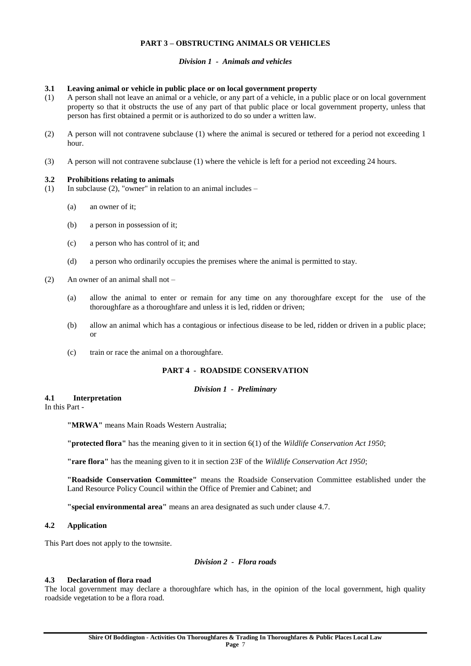## **PART 3 – OBSTRUCTING ANIMALS OR VEHICLES**

## *Division 1 - Animals and vehicles*

#### **3.1 Leaving animal or vehicle in public place or on local government property**

- (1) A person shall not leave an animal or a vehicle, or any part of a vehicle, in a public place or on local government property so that it obstructs the use of any part of that public place or local government property, unless that person has first obtained a permit or is authorized to do so under a written law.
- (2) A person will not contravene subclause (1) where the animal is secured or tethered for a period not exceeding 1 hour.
- (3) A person will not contravene subclause (1) where the vehicle is left for a period not exceeding 24 hours.

#### **3.2 Prohibitions relating to animals**

- (1) In subclause (2), "owner" in relation to an animal includes
	- (a) an owner of it;
	- (b) a person in possession of it;
	- (c) a person who has control of it; and
	- (d) a person who ordinarily occupies the premises where the animal is permitted to stay.
- (2) An owner of an animal shall not
	- (a) allow the animal to enter or remain for any time on any thoroughfare except for the use of the thoroughfare as a thoroughfare and unless it is led, ridden or driven;
	- (b) allow an animal which has a contagious or infectious disease to be led, ridden or driven in a public place; or
	- (c) train or race the animal on a thoroughfare.

## **PART 4 - ROADSIDE CONSERVATION**

#### *Division 1 - Preliminary*

#### **4.1 Interpretation**

In this Part -

**"MRWA"** means Main Roads Western Australia;

**"protected flora"** has the meaning given to it in section 6(1) of the *Wildlife Conservation Act 1950*;

**"rare flora"** has the meaning given to it in section 23F of the *Wildlife Conservation Act 1950*;

**"Roadside Conservation Committee"** means the Roadside Conservation Committee established under the Land Resource Policy Council within the Office of Premier and Cabinet; and

**"special environmental area"** means an area designated as such under clause 4.7.

## **4.2 Application**

This Part does not apply to the townsite.

## *Division 2 - Flora roads*

## **4.3 Declaration of flora road**

The local government may declare a thoroughfare which has, in the opinion of the local government, high quality roadside vegetation to be a flora road.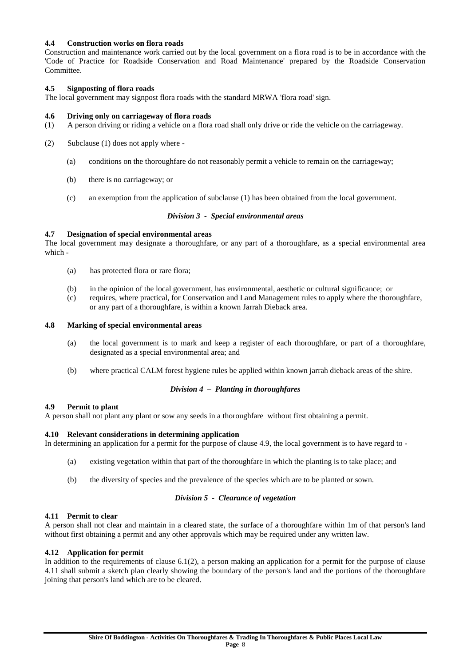## **4.4 Construction works on flora roads**

Construction and maintenance work carried out by the local government on a flora road is to be in accordance with the 'Code of Practice for Roadside Conservation and Road Maintenance' prepared by the Roadside Conservation Committee.

## **4.5 Signposting of flora roads**

The local government may signpost flora roads with the standard MRWA 'flora road' sign.

## **4.6 Driving only on carriageway of flora roads**

- (1) A person driving or riding a vehicle on a flora road shall only drive or ride the vehicle on the carriageway.
- (2) Subclause (1) does not apply where
	- (a) conditions on the thoroughfare do not reasonably permit a vehicle to remain on the carriageway;
	- (b) there is no carriageway; or
	- (c) an exemption from the application of subclause (1) has been obtained from the local government.

## *Division 3 - Special environmental areas*

## **4.7 Designation of special environmental areas**

The local government may designate a thoroughfare, or any part of a thoroughfare, as a special environmental area which -

- (a) has protected flora or rare flora;
- (b) in the opinion of the local government, has environmental, aesthetic or cultural significance; or
- (c) requires, where practical, for Conservation and Land Management rules to apply where the thoroughfare, or any part of a thoroughfare, is within a known Jarrah Dieback area.

## **4.8 Marking of special environmental areas**

- (a) the local government is to mark and keep a register of each thoroughfare, or part of a thoroughfare, designated as a special environmental area; and
- (b) where practical CALM forest hygiene rules be applied within known jarrah dieback areas of the shire.

## *Division 4 – Planting in thoroughfares*

## **4.9 Permit to plant**

A person shall not plant any plant or sow any seeds in a thoroughfare without first obtaining a permit.

## **4.10 Relevant considerations in determining application**

In determining an application for a permit for the purpose of clause 4.9, the local government is to have regard to -

- (a) existing vegetation within that part of the thoroughfare in which the planting is to take place; and
- (b) the diversity of species and the prevalence of the species which are to be planted or sown.

## *Division 5 - Clearance of vegetation*

## **4.11 Permit to clear**

A person shall not clear and maintain in a cleared state, the surface of a thoroughfare within 1m of that person's land without first obtaining a permit and any other approvals which may be required under any written law.

## **4.12 Application for permit**

In addition to the requirements of clause 6.1(2), a person making an application for a permit for the purpose of clause 4.11 shall submit a sketch plan clearly showing the boundary of the person's land and the portions of the thoroughfare joining that person's land which are to be cleared.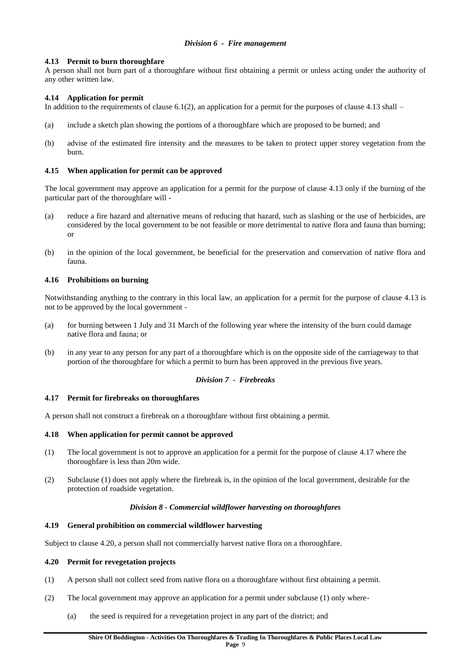## **4.13 Permit to burn thoroughfare**

A person shall not burn part of a thoroughfare without first obtaining a permit or unless acting under the authority of any other written law.

## **4.14 Application for permit**

In addition to the requirements of clause 6.1(2), an application for a permit for the purposes of clause 4.13 shall –

- (a) include a sketch plan showing the portions of a thoroughfare which are proposed to be burned; and
- (b) advise of the estimated fire intensity and the measures to be taken to protect upper storey vegetation from the burn.

## **4.15 When application for permit can be approved**

The local government may approve an application for a permit for the purpose of clause 4.13 only if the burning of the particular part of the thoroughfare will -

- (a) reduce a fire hazard and alternative means of reducing that hazard, such as slashing or the use of herbicides, are considered by the local government to be not feasible or more detrimental to native flora and fauna than burning; or
- (b) in the opinion of the local government, be beneficial for the preservation and conservation of native flora and fauna.

## **4.16 Prohibitions on burning**

Notwithstanding anything to the contrary in this local law, an application for a permit for the purpose of clause 4.13 is not to be approved by the local government -

- (a) for burning between 1 July and 31 March of the following year where the intensity of the burn could damage native flora and fauna; or
- (b) in any year to any person for any part of a thoroughfare which is on the opposite side of the carriageway to that portion of the thoroughfare for which a permit to burn has been approved in the previous five years.

## *Division 7 - Firebreaks*

## **4.17 Permit for firebreaks on thoroughfares**

A person shall not construct a firebreak on a thoroughfare without first obtaining a permit.

## **4.18 When application for permit cannot be approved**

- (1) The local government is not to approve an application for a permit for the purpose of clause 4.17 where the thoroughfare is less than 20m wide.
- (2) Subclause (1) does not apply where the firebreak is, in the opinion of the local government, desirable for the protection of roadside vegetation.

## *Division 8 - Commercial wildflower harvesting on thoroughfares*

## **4.19 General prohibition on commercial wildflower harvesting**

Subject to clause 4.20, a person shall not commercially harvest native flora on a thoroughfare.

## **4.20 Permit for revegetation projects**

- (1) A person shall not collect seed from native flora on a thoroughfare without first obtaining a permit.
- (2) The local government may approve an application for a permit under subclause (1) only where-
	- (a) the seed is required for a revegetation project in any part of the district; and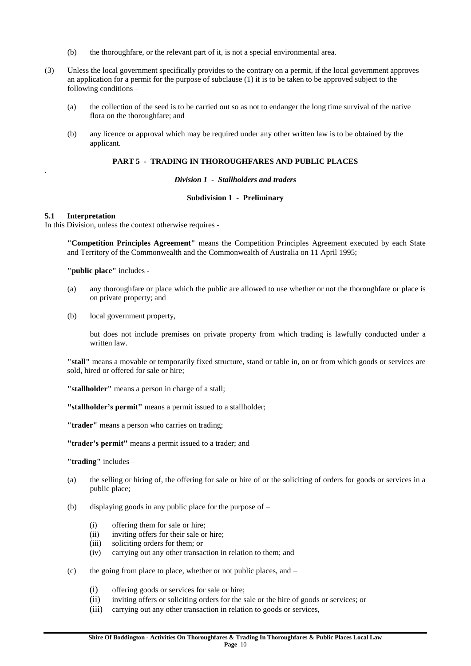- (b) the thoroughfare, or the relevant part of it, is not a special environmental area.
- (3) Unless the local government specifically provides to the contrary on a permit, if the local government approves an application for a permit for the purpose of subclause (1) it is to be taken to be approved subject to the following conditions –
	- (a) the collection of the seed is to be carried out so as not to endanger the long time survival of the native flora on the thoroughfare; and
	- (b) any licence or approval which may be required under any other written law is to be obtained by the applicant.

## **PART 5 - TRADING IN THOROUGHFARES AND PUBLIC PLACES**

#### *Division 1 - Stallholders and traders*

#### **Subdivision 1 - Preliminary**

## **5.1 Interpretation**

.

In this Division, unless the context otherwise requires -

**"Competition Principles Agreement"** means the Competition Principles Agreement executed by each State and Territory of the Commonwealth and the Commonwealth of Australia on 11 April 1995;

**"public place"** includes -

- (a) any thoroughfare or place which the public are allowed to use whether or not the thoroughfare or place is on private property; and
- (b) local government property,

but does not include premises on private property from which trading is lawfully conducted under a written law.

**"stall"** means a movable or temporarily fixed structure, stand or table in, on or from which goods or services are sold, hired or offered for sale or hire;

**"stallholder"** means a person in charge of a stall;

**"stallholder's permit"** means a permit issued to a stallholder;

**"trader"** means a person who carries on trading;

**"trader's permit"** means a permit issued to a trader; and

**"trading"** includes –

- (a) the selling or hiring of, the offering for sale or hire of or the soliciting of orders for goods or services in a public place;
- (b) displaying goods in any public place for the purpose of  $-$ 
	- (i) offering them for sale or hire;
	- (ii) inviting offers for their sale or hire;
	- (iii) soliciting orders for them; or
	- (iv) carrying out any other transaction in relation to them; and
- (c) the going from place to place, whether or not public places, and
	- (i) offering goods or services for sale or hire;
	- (ii) inviting offers or soliciting orders for the sale or the hire of goods or services; or
	- (iii) carrying out any other transaction in relation to goods or services,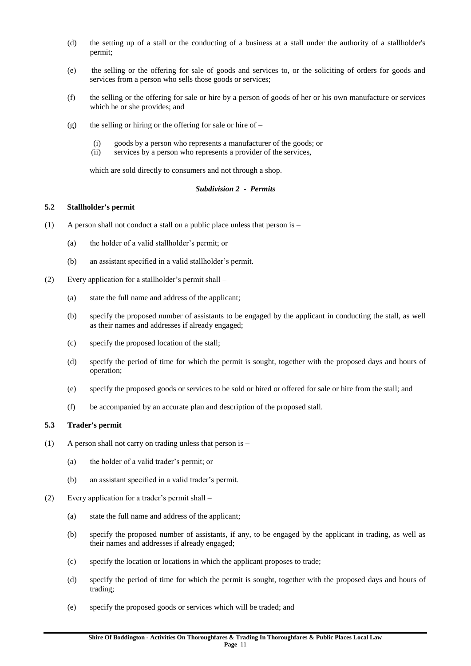- (d) the setting up of a stall or the conducting of a business at a stall under the authority of a stallholder's permit;
- (e) the selling or the offering for sale of goods and services to, or the soliciting of orders for goods and services from a person who sells those goods or services;
- (f) the selling or the offering for sale or hire by a person of goods of her or his own manufacture or services which he or she provides; and
- (g) the selling or hiring or the offering for sale or hire of  $-$ 
	- (i) goods by a person who represents a manufacturer of the goods; or
	- (ii) services by a person who represents a provider of the services,

which are sold directly to consumers and not through a shop.

## *Subdivision 2 - Permits*

## **5.2 Stallholder's permit**

- (1) A person shall not conduct a stall on a public place unless that person is
	- (a) the holder of a valid stallholder's permit; or
	- (b) an assistant specified in a valid stallholder's permit.
- (2) Every application for a stallholder's permit shall
	- (a) state the full name and address of the applicant;
	- (b) specify the proposed number of assistants to be engaged by the applicant in conducting the stall, as well as their names and addresses if already engaged;
	- (c) specify the proposed location of the stall;
	- (d) specify the period of time for which the permit is sought, together with the proposed days and hours of operation;
	- (e) specify the proposed goods or services to be sold or hired or offered for sale or hire from the stall; and
	- (f) be accompanied by an accurate plan and description of the proposed stall.

# **5.3 Trader's permit**

- (1) A person shall not carry on trading unless that person is
	- (a) the holder of a valid trader's permit; or
	- (b) an assistant specified in a valid trader's permit.
- (2) Every application for a trader's permit shall
	- (a) state the full name and address of the applicant;
	- (b) specify the proposed number of assistants, if any, to be engaged by the applicant in trading, as well as their names and addresses if already engaged;
	- (c) specify the location or locations in which the applicant proposes to trade;
	- (d) specify the period of time for which the permit is sought, together with the proposed days and hours of trading;
	- (e) specify the proposed goods or services which will be traded; and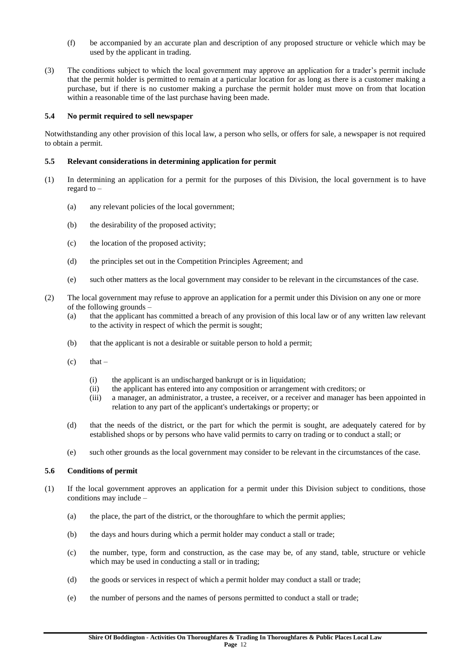- (f) be accompanied by an accurate plan and description of any proposed structure or vehicle which may be used by the applicant in trading.
- (3) The conditions subject to which the local government may approve an application for a trader's permit include that the permit holder is permitted to remain at a particular location for as long as there is a customer making a purchase, but if there is no customer making a purchase the permit holder must move on from that location within a reasonable time of the last purchase having been made.

## **5.4 No permit required to sell newspaper**

Notwithstanding any other provision of this local law, a person who sells, or offers for sale, a newspaper is not required to obtain a permit.

## **5.5 Relevant considerations in determining application for permit**

- (1) In determining an application for a permit for the purposes of this Division, the local government is to have regard to –
	- (a) any relevant policies of the local government;
	- (b) the desirability of the proposed activity;
	- (c) the location of the proposed activity;
	- (d) the principles set out in the Competition Principles Agreement; and
	- (e) such other matters as the local government may consider to be relevant in the circumstances of the case.
- (2) The local government may refuse to approve an application for a permit under this Division on any one or more of the following grounds –
	- (a) that the applicant has committed a breach of any provision of this local law or of any written law relevant to the activity in respect of which the permit is sought;
	- (b) that the applicant is not a desirable or suitable person to hold a permit;
	- $(c)$  that
		- (i) the applicant is an undischarged bankrupt or is in liquidation;
		- (ii) the applicant has entered into any composition or arrangement with creditors; or
		- (iii) a manager, an administrator, a trustee, a receiver, or a receiver and manager has been appointed in relation to any part of the applicant's undertakings or property; or
	- (d) that the needs of the district, or the part for which the permit is sought, are adequately catered for by established shops or by persons who have valid permits to carry on trading or to conduct a stall; or
	- (e) such other grounds as the local government may consider to be relevant in the circumstances of the case.

## **5.6 Conditions of permit**

- (1) If the local government approves an application for a permit under this Division subject to conditions, those conditions may include –
	- (a) the place, the part of the district, or the thoroughfare to which the permit applies;
	- (b) the days and hours during which a permit holder may conduct a stall or trade;
	- (c) the number, type, form and construction, as the case may be, of any stand, table, structure or vehicle which may be used in conducting a stall or in trading;
	- (d) the goods or services in respect of which a permit holder may conduct a stall or trade;
	- (e) the number of persons and the names of persons permitted to conduct a stall or trade;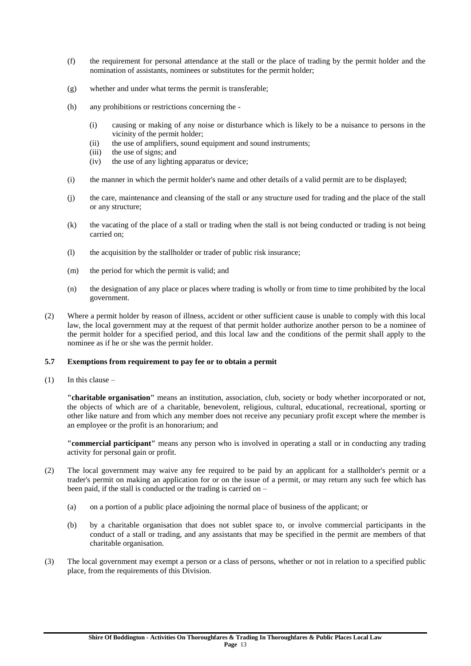- (f) the requirement for personal attendance at the stall or the place of trading by the permit holder and the nomination of assistants, nominees or substitutes for the permit holder;
- (g) whether and under what terms the permit is transferable;
- (h) any prohibitions or restrictions concerning the
	- (i) causing or making of any noise or disturbance which is likely to be a nuisance to persons in the vicinity of the permit holder;
	- (ii) the use of amplifiers, sound equipment and sound instruments;
	- (iii) the use of signs; and
	- (iv) the use of any lighting apparatus or device;
- (i) the manner in which the permit holder's name and other details of a valid permit are to be displayed;
- (j) the care, maintenance and cleansing of the stall or any structure used for trading and the place of the stall or any structure;
- (k) the vacating of the place of a stall or trading when the stall is not being conducted or trading is not being carried on;
- (l) the acquisition by the stallholder or trader of public risk insurance;
- (m) the period for which the permit is valid; and
- (n) the designation of any place or places where trading is wholly or from time to time prohibited by the local government.
- (2) Where a permit holder by reason of illness, accident or other sufficient cause is unable to comply with this local law, the local government may at the request of that permit holder authorize another person to be a nominee of the permit holder for a specified period, and this local law and the conditions of the permit shall apply to the nominee as if he or she was the permit holder.

#### **5.7 Exemptions from requirement to pay fee or to obtain a permit**

 $(1)$  In this clause –

**"charitable organisation"** means an institution, association, club, society or body whether incorporated or not, the objects of which are of a charitable, benevolent, religious, cultural, educational, recreational, sporting or other like nature and from which any member does not receive any pecuniary profit except where the member is an employee or the profit is an honorarium; and

**"commercial participant"** means any person who is involved in operating a stall or in conducting any trading activity for personal gain or profit.

- (2) The local government may waive any fee required to be paid by an applicant for a stallholder's permit or a trader's permit on making an application for or on the issue of a permit, or may return any such fee which has been paid, if the stall is conducted or the trading is carried on –
	- (a) on a portion of a public place adjoining the normal place of business of the applicant; or
	- (b) by a charitable organisation that does not sublet space to, or involve commercial participants in the conduct of a stall or trading, and any assistants that may be specified in the permit are members of that charitable organisation.
- (3) The local government may exempt a person or a class of persons, whether or not in relation to a specified public place, from the requirements of this Division.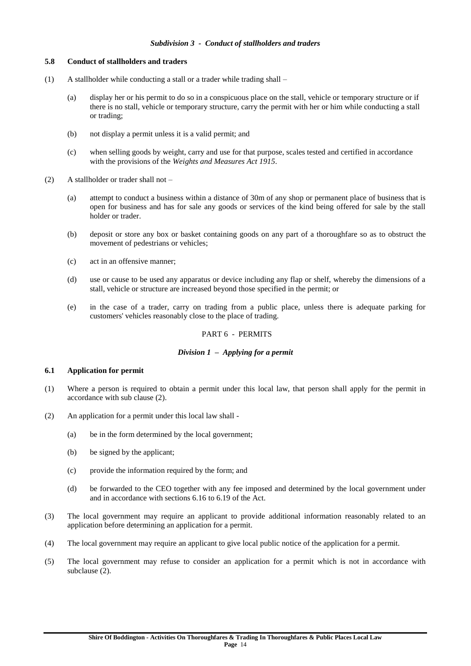#### *Subdivision 3 - Conduct of stallholders and traders*

#### **5.8 Conduct of stallholders and traders**

- (1) A stallholder while conducting a stall or a trader while trading shall
	- (a) display her or his permit to do so in a conspicuous place on the stall, vehicle or temporary structure or if there is no stall, vehicle or temporary structure, carry the permit with her or him while conducting a stall or trading;
	- (b) not display a permit unless it is a valid permit; and
	- (c) when selling goods by weight, carry and use for that purpose, scales tested and certified in accordance with the provisions of the *Weights and Measures Act 1915*.
- (2) A stallholder or trader shall not
	- (a) attempt to conduct a business within a distance of 30m of any shop or permanent place of business that is open for business and has for sale any goods or services of the kind being offered for sale by the stall holder or trader.
	- (b) deposit or store any box or basket containing goods on any part of a thoroughfare so as to obstruct the movement of pedestrians or vehicles;
	- (c) act in an offensive manner;
	- (d) use or cause to be used any apparatus or device including any flap or shelf, whereby the dimensions of a stall, vehicle or structure are increased beyond those specified in the permit; or
	- (e) in the case of a trader, carry on trading from a public place, unless there is adequate parking for customers' vehicles reasonably close to the place of trading.

#### PART 6 - PERMITS

#### *Division 1 – Applying for a permit*

#### **6.1 Application for permit**

- (1) Where a person is required to obtain a permit under this local law, that person shall apply for the permit in accordance with sub clause (2).
- (2) An application for a permit under this local law shall
	- (a) be in the form determined by the local government;
	- (b) be signed by the applicant;
	- (c) provide the information required by the form; and
	- (d) be forwarded to the CEO together with any fee imposed and determined by the local government under and in accordance with sections 6.16 to 6.19 of the Act.
- (3) The local government may require an applicant to provide additional information reasonably related to an application before determining an application for a permit.
- (4) The local government may require an applicant to give local public notice of the application for a permit.
- (5) The local government may refuse to consider an application for a permit which is not in accordance with subclause (2).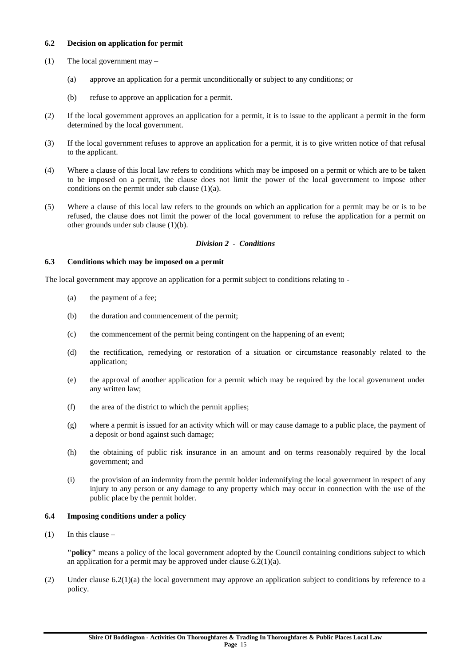## **6.2 Decision on application for permit**

- (1) The local government may
	- (a) approve an application for a permit unconditionally or subject to any conditions; or
	- (b) refuse to approve an application for a permit.
- (2) If the local government approves an application for a permit, it is to issue to the applicant a permit in the form determined by the local government.
- (3) If the local government refuses to approve an application for a permit, it is to give written notice of that refusal to the applicant.
- (4) Where a clause of this local law refers to conditions which may be imposed on a permit or which are to be taken to be imposed on a permit, the clause does not limit the power of the local government to impose other conditions on the permit under sub clause (1)(a).
- (5) Where a clause of this local law refers to the grounds on which an application for a permit may be or is to be refused, the clause does not limit the power of the local government to refuse the application for a permit on other grounds under sub clause (1)(b).

## *Division 2 - Conditions*

## **6.3 Conditions which may be imposed on a permit**

The local government may approve an application for a permit subject to conditions relating to -

- (a) the payment of a fee;
- (b) the duration and commencement of the permit;
- (c) the commencement of the permit being contingent on the happening of an event;
- (d) the rectification, remedying or restoration of a situation or circumstance reasonably related to the application;
- (e) the approval of another application for a permit which may be required by the local government under any written law;
- (f) the area of the district to which the permit applies;
- (g) where a permit is issued for an activity which will or may cause damage to a public place, the payment of a deposit or bond against such damage;
- (h) the obtaining of public risk insurance in an amount and on terms reasonably required by the local government; and
- (i) the provision of an indemnity from the permit holder indemnifying the local government in respect of any injury to any person or any damage to any property which may occur in connection with the use of the public place by the permit holder.

## **6.4 Imposing conditions under a policy**

(1) In this clause  $-$ 

**"policy"** means a policy of the local government adopted by the Council containing conditions subject to which an application for a permit may be approved under clause  $6.2(1)(a)$ .

(2) Under clause 6.2(1)(a) the local government may approve an application subject to conditions by reference to a policy.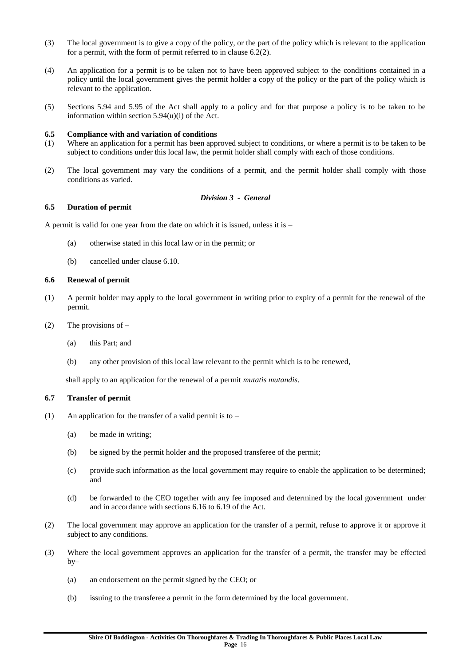- (3) The local government is to give a copy of the policy, or the part of the policy which is relevant to the application for a permit, with the form of permit referred to in clause  $6.2(2)$ .
- (4) An application for a permit is to be taken not to have been approved subject to the conditions contained in a policy until the local government gives the permit holder a copy of the policy or the part of the policy which is relevant to the application.
- (5) Sections 5.94 and 5.95 of the Act shall apply to a policy and for that purpose a policy is to be taken to be information within section 5.94(u)(i) of the Act.

#### **6.5 Compliance with and variation of conditions**

- (1) Where an application for a permit has been approved subject to conditions, or where a permit is to be taken to be subject to conditions under this local law, the permit holder shall comply with each of those conditions.
- (2) The local government may vary the conditions of a permit, and the permit holder shall comply with those conditions as varied.

## *Division 3 - General*

#### **6.5 Duration of permit**

A permit is valid for one year from the date on which it is issued, unless it is –

- (a) otherwise stated in this local law or in the permit; or
- (b) cancelled under clause 6.10.

#### **6.6 Renewal of permit**

- (1) A permit holder may apply to the local government in writing prior to expiry of a permit for the renewal of the permit.
- (2) The provisions of  $-$ 
	- (a) this Part; and
	- (b) any other provision of this local law relevant to the permit which is to be renewed,

shall apply to an application for the renewal of a permit *mutatis mutandis*.

#### **6.7 Transfer of permit**

- (1) An application for the transfer of a valid permit is to  $-$ 
	- (a) be made in writing;
	- (b) be signed by the permit holder and the proposed transferee of the permit;
	- (c) provide such information as the local government may require to enable the application to be determined; and
	- (d) be forwarded to the CEO together with any fee imposed and determined by the local government under and in accordance with sections 6.16 to 6.19 of the Act.
- (2) The local government may approve an application for the transfer of a permit, refuse to approve it or approve it subject to any conditions.
- (3) Where the local government approves an application for the transfer of a permit, the transfer may be effected  $bv$ 
	- (a) an endorsement on the permit signed by the CEO; or
	- (b) issuing to the transferee a permit in the form determined by the local government.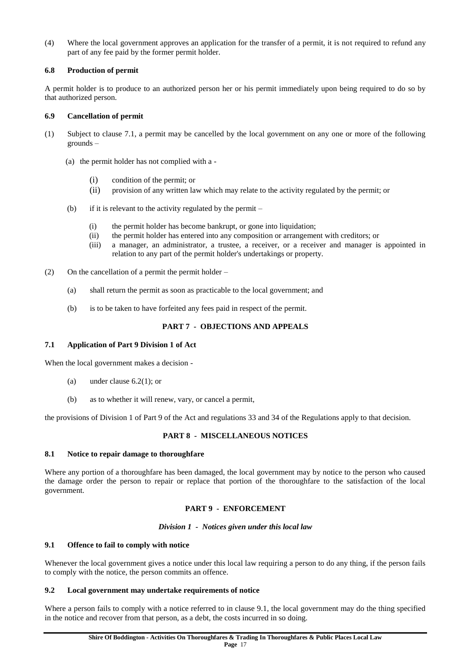(4) Where the local government approves an application for the transfer of a permit, it is not required to refund any part of any fee paid by the former permit holder.

## **6.8 Production of permit**

A permit holder is to produce to an authorized person her or his permit immediately upon being required to do so by that authorized person.

## **6.9 Cancellation of permit**

- (1) Subject to clause 7.1, a permit may be cancelled by the local government on any one or more of the following grounds –
	- (a) the permit holder has not complied with a
		- (i) condition of the permit; or
		- (ii) provision of any written law which may relate to the activity regulated by the permit; or
	- (b) if it is relevant to the activity regulated by the permit  $-$ 
		- (i) the permit holder has become bankrupt, or gone into liquidation;
		- (ii) the permit holder has entered into any composition or arrangement with creditors; or
		- (iii) a manager, an administrator, a trustee, a receiver, or a receiver and manager is appointed in relation to any part of the permit holder's undertakings or property.
- (2) On the cancellation of a permit the permit holder
	- (a) shall return the permit as soon as practicable to the local government; and
	- (b) is to be taken to have forfeited any fees paid in respect of the permit.

# **PART 7 - OBJECTIONS AND APPEALS**

## **7.1 Application of Part 9 Division 1 of Act**

When the local government makes a decision -

- (a) under clause 6.2(1); or
- (b) as to whether it will renew, vary, or cancel a permit,

the provisions of Division 1 of Part 9 of the Act and regulations 33 and 34 of the Regulations apply to that decision.

# **PART 8 - MISCELLANEOUS NOTICES**

## **8.1 Notice to repair damage to thoroughfare**

Where any portion of a thoroughfare has been damaged, the local government may by notice to the person who caused the damage order the person to repair or replace that portion of the thoroughfare to the satisfaction of the local government.

# **PART 9 - ENFORCEMENT**

## *Division 1 - Notices given under this local law*

## **9.1 Offence to fail to comply with notice**

Whenever the local government gives a notice under this local law requiring a person to do any thing, if the person fails to comply with the notice, the person commits an offence.

## **9.2 Local government may undertake requirements of notice**

Where a person fails to comply with a notice referred to in clause 9.1, the local government may do the thing specified in the notice and recover from that person, as a debt, the costs incurred in so doing.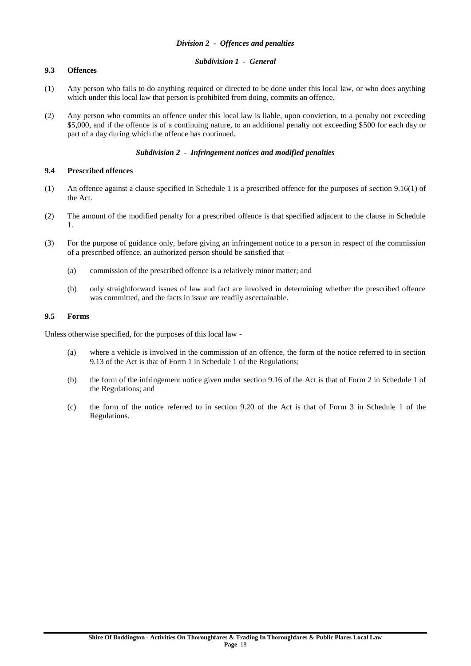## *Subdivision 1 - General*

## **9.3 Offences**

- (1) Any person who fails to do anything required or directed to be done under this local law, or who does anything which under this local law that person is prohibited from doing, commits an offence.
- (2) Any person who commits an offence under this local law is liable, upon conviction, to a penalty not exceeding \$5,000, and if the offence is of a continuing nature, to an additional penalty not exceeding \$500 for each day or part of a day during which the offence has continued.

## *Subdivision 2 - Infringement notices and modified penalties*

## **9.4 Prescribed offences**

- (1) An offence against a clause specified in Schedule 1 is a prescribed offence for the purposes of section 9.16(1) of the Act.
- (2) The amount of the modified penalty for a prescribed offence is that specified adjacent to the clause in Schedule 1.
- (3) For the purpose of guidance only, before giving an infringement notice to a person in respect of the commission of a prescribed offence, an authorized person should be satisfied that –
	- (a) commission of the prescribed offence is a relatively minor matter; and
	- (b) only straightforward issues of law and fact are involved in determining whether the prescribed offence was committed, and the facts in issue are readily ascertainable.

## **9.5 Forms**

Unless otherwise specified, for the purposes of this local law -

- (a) where a vehicle is involved in the commission of an offence, the form of the notice referred to in section 9.13 of the Act is that of Form 1 in Schedule 1 of the Regulations;
- (b) the form of the infringement notice given under section 9.16 of the Act is that of Form 2 in Schedule 1 of the Regulations; and
- (c) the form of the notice referred to in section 9.20 of the Act is that of Form 3 in Schedule 1 of the Regulations.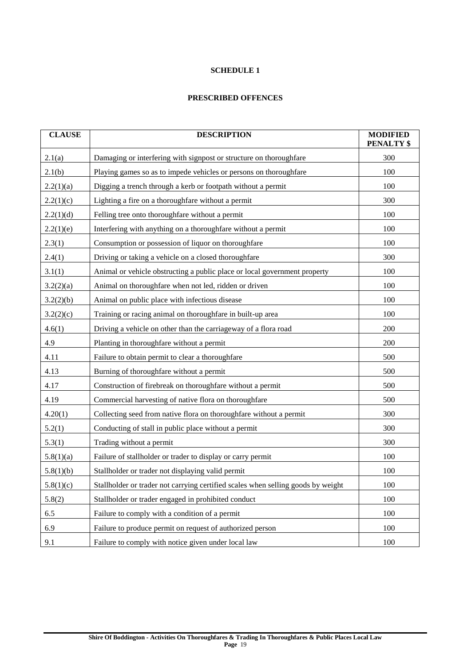# **SCHEDULE 1**

# **PRESCRIBED OFFENCES**

| <b>CLAUSE</b> | <b>DESCRIPTION</b>                                                               | <b>MODIFIED</b><br><b>PENALTY \$</b> |
|---------------|----------------------------------------------------------------------------------|--------------------------------------|
| 2.1(a)        | Damaging or interfering with signpost or structure on thoroughfare               | 300                                  |
| 2.1(b)        | Playing games so as to impede vehicles or persons on thoroughfare                | 100                                  |
| 2.2(1)(a)     | Digging a trench through a kerb or footpath without a permit                     | 100                                  |
| 2.2(1)(c)     | Lighting a fire on a thoroughfare without a permit                               | 300                                  |
| 2.2(1)(d)     | Felling tree onto thoroughfare without a permit                                  | 100                                  |
| 2.2(1)(e)     | Interfering with anything on a thoroughfare without a permit                     | 100                                  |
| 2.3(1)        | Consumption or possession of liquor on thoroughfare                              | 100                                  |
| 2.4(1)        | Driving or taking a vehicle on a closed thoroughfare                             | 300                                  |
| 3.1(1)        | Animal or vehicle obstructing a public place or local government property        | 100                                  |
| 3.2(2)(a)     | Animal on thoroughfare when not led, ridden or driven                            | 100                                  |
| 3.2(2)(b)     | Animal on public place with infectious disease                                   | 100                                  |
| 3.2(2)(c)     | Training or racing animal on thoroughfare in built-up area                       | 100                                  |
| 4.6(1)        | Driving a vehicle on other than the carriageway of a flora road                  | 200                                  |
| 4.9           | Planting in thoroughfare without a permit                                        | 200                                  |
| 4.11          | Failure to obtain permit to clear a thoroughfare                                 | 500                                  |
| 4.13          | Burning of thoroughfare without a permit                                         | 500                                  |
| 4.17          | Construction of firebreak on thoroughfare without a permit                       | 500                                  |
| 4.19          | Commercial harvesting of native flora on thoroughfare                            | 500                                  |
| 4.20(1)       | Collecting seed from native flora on thoroughfare without a permit               | 300                                  |
| 5.2(1)        | Conducting of stall in public place without a permit                             | 300                                  |
| 5.3(1)        | Trading without a permit                                                         | 300                                  |
| 5.8(1)(a)     | Failure of stallholder or trader to display or carry permit                      | 100                                  |
| 5.8(1)(b)     | Stallholder or trader not displaying valid permit                                | 100                                  |
| 5.8(1)(c)     | Stallholder or trader not carrying certified scales when selling goods by weight | 100                                  |
| 5.8(2)        | Stallholder or trader engaged in prohibited conduct                              | 100                                  |
| 6.5           | Failure to comply with a condition of a permit                                   | 100                                  |
| 6.9           | Failure to produce permit on request of authorized person                        | 100                                  |
| 9.1           | Failure to comply with notice given under local law                              | 100                                  |